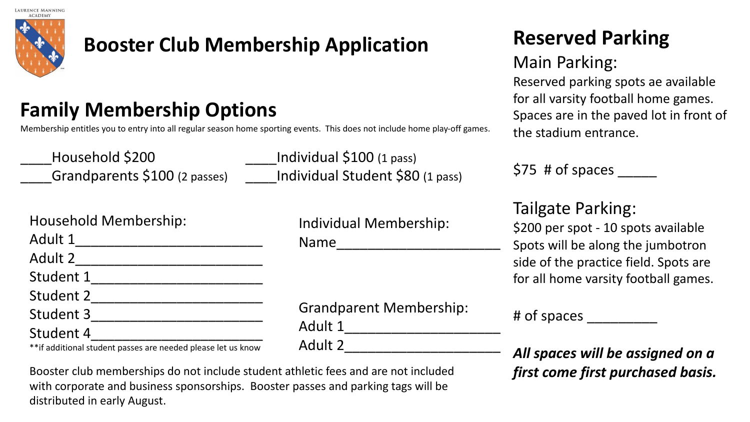

## **Booster Club Membership Application**

## **Family Membership Options**

Membership entitles you to entry into all regular season home sporting events. This does not include home play-off games.

Household \$200 Lindividual \$100 (1 pass)

Grandparents \$100 (2 passes) \_\_\_\_\_Individual Student \$80 (1 pass)

Household Membership: Adult 1\_\_\_\_\_\_\_\_\_\_\_\_\_\_\_\_\_\_\_\_\_\_\_\_ Adult 2\_\_\_\_\_\_\_\_\_\_\_\_\_\_\_\_\_\_\_\_\_\_\_\_ Student 1\_\_\_\_\_\_\_\_\_\_\_\_\_\_\_\_\_\_\_\_\_\_ Student 2\_\_\_\_\_\_\_\_\_\_\_\_\_\_\_\_\_\_\_\_\_\_ Student 3\_\_\_\_\_\_\_\_\_\_\_\_\_\_\_\_\_\_\_\_\_\_ Student 4 \*\*if additional student passes are needed please let us know

Individual Membership: Name\_\_\_\_\_\_\_\_\_\_\_\_\_\_\_\_\_\_\_\_\_

Grandparent Membership: Adult 1\_\_\_\_\_\_\_\_\_\_\_\_\_\_\_\_\_\_\_\_ Adult 2\_\_\_\_\_\_\_\_\_\_\_\_\_\_\_\_\_\_\_\_

# **Reserved Parking**

#### Main Parking:

Reserved parking spots ae available for all varsity football home games. Spaces are in the paved lot in front of the stadium entrance.

 $$75$  # of spaces

#### Tailgate Parking:

\$200 per spot - 10 spots available Spots will be along the jumbotron side of the practice field. Spots are for all home varsity football games.

|  |  | # of spaces |  |  |  |  |
|--|--|-------------|--|--|--|--|
|--|--|-------------|--|--|--|--|

*All spaces will be assigned on a first come first purchased basis.*

Booster club memberships do not include student athletic fees and are not included with corporate and business sponsorships. Booster passes and parking tags will be distributed in early August.